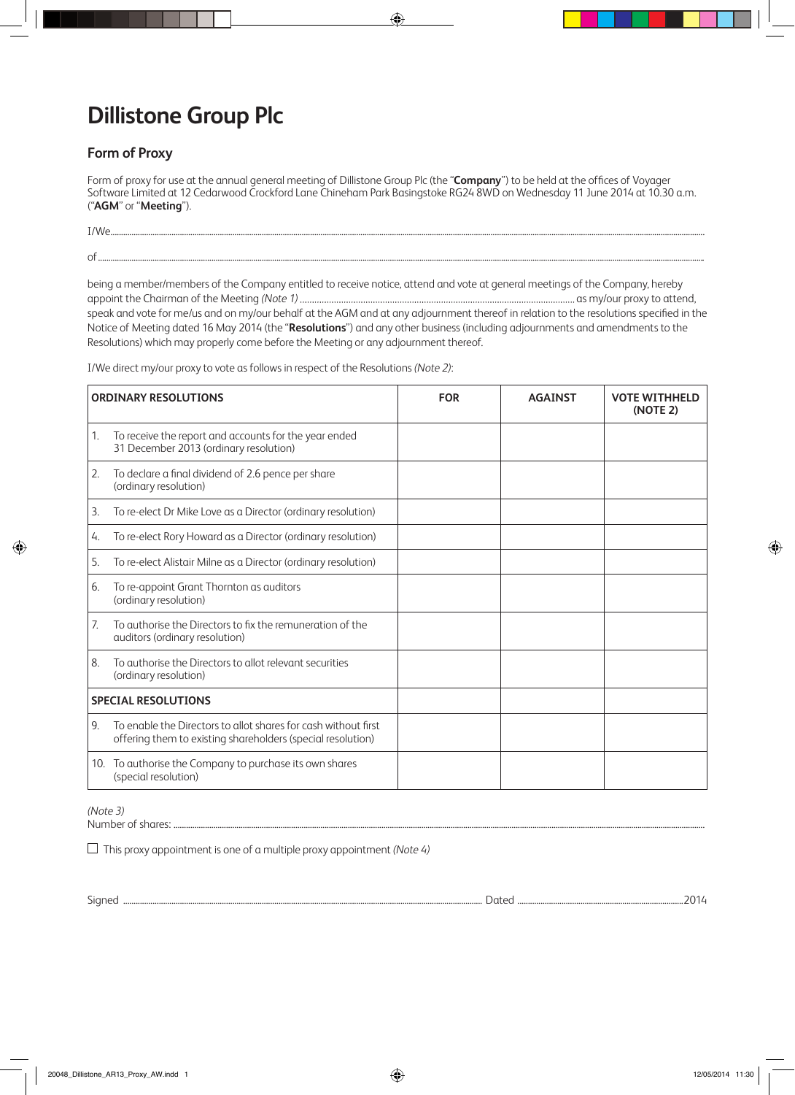## **Dillistone Group Plc**

**Set-up:** Darren **Date:** 9 May 2014 5:32 PM First Read/Revisions

**Operator:** rich **Proof:** 02

## **Form of Proxy**

Form of proxy for use at the annual general meeting of Dillistone Group Plc (the "**Company**") to be held at the offices of Voyager Software Limited at 12 Cedarwood Crockford Lane Chineham Park Basingstoke RG24 8WD on Wednesday 11 June 2014 at 10.30 a.m. ("**AGM**" or "**Meeting**").

I/We ..............................................................................................................................

of .................................................................................................................................................................................................................................................................................................

◈

being a member/members of the Company entitled to receive notice, attend and vote at general meetings of the Company, hereby appoint the Chairman of the Meeting *(Note 1)* as my/our proxy to attend, speak and vote for me/us and on my/our behalf at the AGM and at any adjournment thereof in relation to the resolutions specified in the Notice of Meeting dated 16 May 2014 (the "**Resolutions**") and any other business (including adjournments and amendments to the Resolutions) which may properly come before the Meeting or any adjournment thereof.

I/We direct my/our proxy to vote as follows in respect of the Resolutions *(Note 2)*:

| <b>ORDINARY RESOLUTIONS</b> |                                                                                                                               | <b>FOR</b> | <b>AGAINST</b> | <b>VOTE WITHHELD</b><br>(NOTE 2) |
|-----------------------------|-------------------------------------------------------------------------------------------------------------------------------|------------|----------------|----------------------------------|
| 1.                          | To receive the report and accounts for the year ended<br>31 December 2013 (ordinary resolution)                               |            |                |                                  |
| 2.                          | To declare a final dividend of 2.6 pence per share<br>(ordinary resolution)                                                   |            |                |                                  |
| 3.                          | To re-elect Dr Mike Love as a Director (ordinary resolution)                                                                  |            |                |                                  |
| 4.                          | To re-elect Rory Howard as a Director (ordinary resolution)                                                                   |            |                |                                  |
| 5.                          | To re-elect Alistair Milne as a Director (ordinary resolution)                                                                |            |                |                                  |
| 6.                          | To re-appoint Grant Thornton as auditors<br>(ordinary resolution)                                                             |            |                |                                  |
| 7.                          | To authorise the Directors to fix the remuneration of the<br>auditors (ordinary resolution)                                   |            |                |                                  |
| 8.                          | To authorise the Directors to allot relevant securities<br>(ordinary resolution)                                              |            |                |                                  |
| <b>SPECIAL RESOLUTIONS</b>  |                                                                                                                               |            |                |                                  |
| 9.                          | To enable the Directors to allot shares for cash without first<br>offering them to existing shareholders (special resolution) |            |                |                                  |
|                             | 10. To authorise the Company to purchase its own shares<br>(special resolution)                                               |            |                |                                  |

## *(Note 3)*

Number of shares: ..............................................................................................................................

This proxy appointment is one of a multiple proxy appointment *(Note 4)*

Signed ........................................................................................................................................................................... Dated ...............................................................................2014

◈